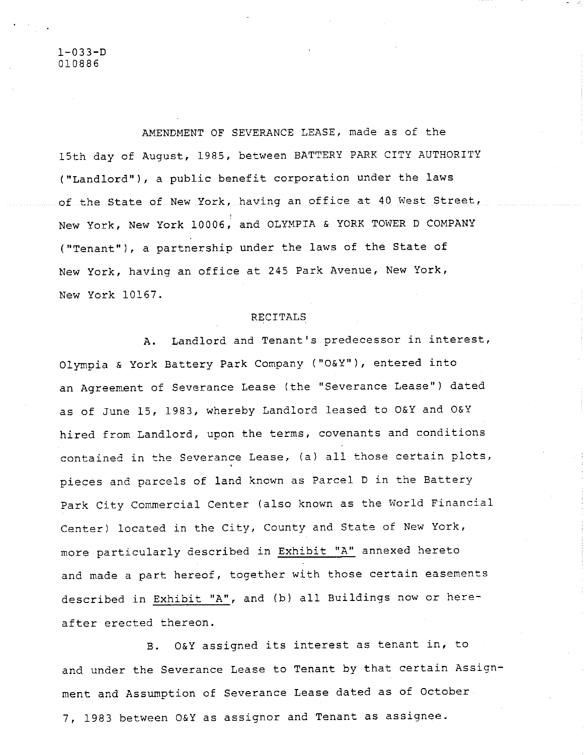AMENDMENT OF SEVERANCE LEASE, made as of the 15th day of August, 1985, between BATTERY PARK CITY AUTHORITY ("Landlord"), a public benefit corporation under the laws of the State of New York, having an office at 40 West Street, New York, New York 10006, and OLYMPIA & YORK TOWER D COMPANY ("Tenant"), a partnership under the laws of the State of New York, having an office at 245 Park Avenue, New York, New York 10167.

### **RECITALS**

A. Landlord and Tenant's predecessor in interest, Olympia & York Battery Park Company ("O&Y"), entered into an Agreement of Severance Lease (the "Severance Lease") dated as of June 15, 1983, whereby Landlord leased to O&Y and O&Y hired from Landlord, upon the terms, covenants and conditions contained in the Severance Lease, (a) all those certain plots, pieces and parcels of land known as Parcel D in the Battery Park City Commercial Center (also known as the World Financial Center) located in the City, County and State of New York, more particularly described in Exhibit "A" annexed hereto and made a part hereof, together with those certain easements described in **Exhibit "A"**, and (b) all Buildings now or hereafter erected thereon.

B. O&Y assigned its interest as tenant in, to and under the Severance Lease to Tenant by that certain Assignment and Assumption of Severance Lease dated as of October 7, 1983 between O&Y as assignor and Tenant as assignee.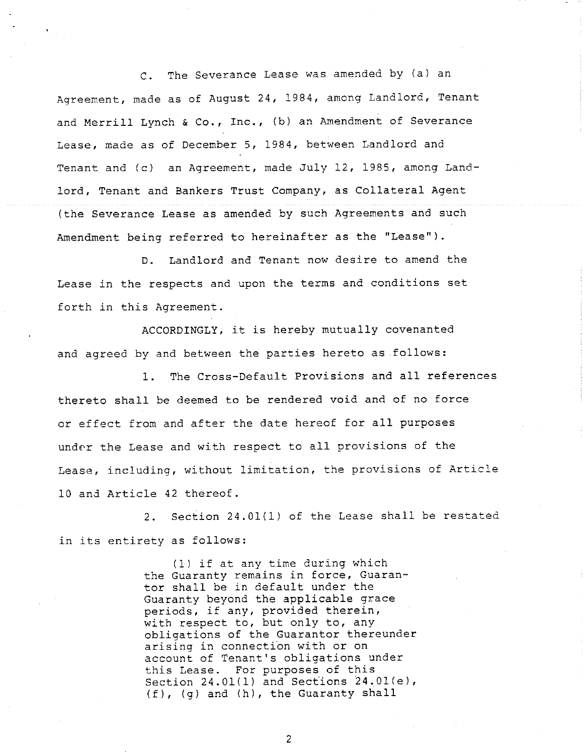C. The Severance Lease was amended by (a) an Agreement, made as of August 24, 1984, among Landlord, Tenant and Merrill Lynch & Co., Inc., (b) an Amendment of Severance Lease, made as of December 5, 1984, between Landlord and Tenant and (c) an Agreement, made July 12, 1985, among Landlord, Tenant and Bankers Trust Company, as Collateral Agent (the Severance Lease as amended by such Agreements and such Amendment being referred to hereinafter as the "Lease").

D. Landlord and Tenant now desire to amend the Lease in the respects and upon the terms and conditions set forth in this Agreement.

ACCORDINGLY, it is hereby mutually covenanted and agreed by and between the parties hereto as follows:

i. The Cross-Default Provisions and all references thereto shall be deemed to be rendered void and of no force or effect from and after the date hereof for al! purposes under the Lease and with respect to all provisions of the Lease, including, without limitation, the provisions of Article 10 and Article 42 thereof.

2. Section 24.01(1) of the Lease shall be restated in its entirety as follows:

> (i) if at any time during which the Guaranty remains in force, Guarantor shall be in default under the Guaranty beyond the applicable grace periods, if any, provided therein, with respect to, but only to, any obligations of the Guarantor thereunder arising in connection with or on account of Tenant's obligations under this Lease. For purposes of this Section 24.01(1) and Sections 24.01(e), (f), (g) and (h), the Guaranty shall

> > $\overline{2}$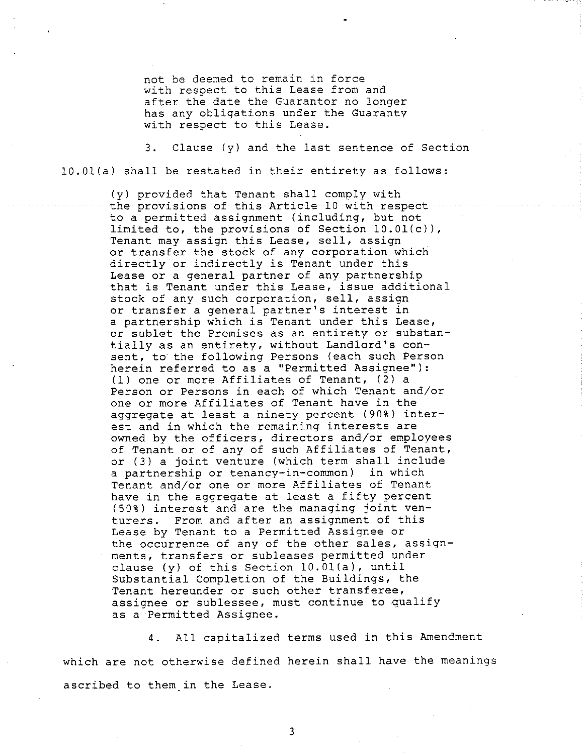not be deemed to remain in force with respect to this Lease from and after the date the Guarantor no longer has any obligations under the Guaranty with respect to this Lease.

3. Clause (y) and the last sentence of Section 10.01(a) shall be restated in their entirety as follows:

> (y) provided that Tenant shall comply with the provisions of this Article l0 with respect to a permitted assignment (including, but not limited to, the provisions of Section 10.01(c)), Tenant may assign this Lease, sell, assign or transfer the stock of any corporation which directly or indirectly is Tenant under this Lease or a general partner of any partnership that is Tenant under this Lease, issue additional stock of any such corporation, sell, assign or transfer a general partner's interest in a partnership which is Tenant under this Lease, or sublet the Premises as an entirety or substantially as an entirety, without Landlord's consent, to the following Persons (each such Person herein referred to as a "Permitted Assignee"): (i) one or more Affiliates of Tenant, (2) a Person or Persons in each of which Tenant and/or one or more Affiliates of Tenant have in the aggregate at least a ninety percent (90%) interest and in which the remaining interests are owned by the officers, directors and/or employees of Tenant or of any of such Affiliates of Tenant, or (3) a joint venture (which term shall include a partnership or tenancy-in-common) in which Tenant and/or one or more Affiliates of Tenant have in the aggregate at least a fifty percent (50%) interest and are the managing joint venturers. From and after an assignment of this Lease by Tenant to a Permitted Assignee or the occurrence of any of the other sales, assignments, transfers or subleases permitted under clause (y) of this Section 10.01(a), until Substantial Completion of the Buildings, the Tenant hereunder or such other transferee, assignee or sublessee, must continue to qualify as a Permitted Assignee.

4. All capitalized terms used in this Amendment which are not otherwise defined herein shall have the meanings ascribed to them in the Lease.

3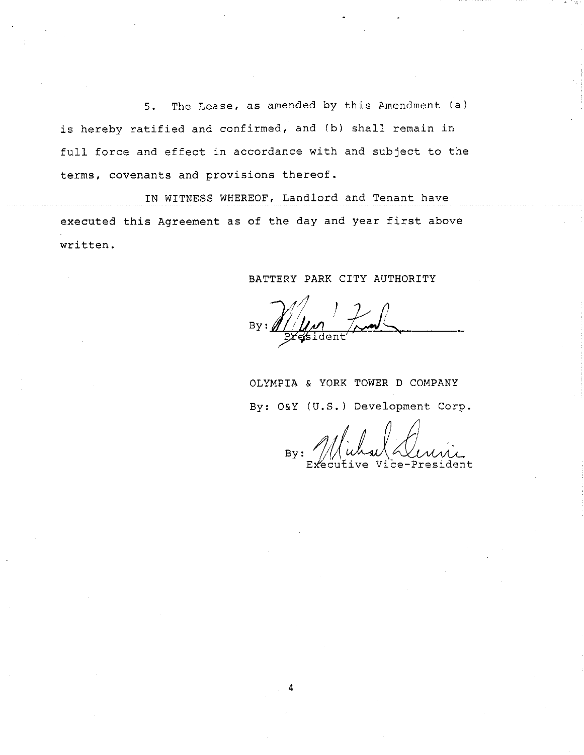5. The Lease, as amended by this Amendment (a) is hereby ratified and confirmed, and (b) shall remain in full force and effect in accordance with and subject to the terms, covenants and provisions thereof.

IN WITNESS WHEREOF, Landlord and Tenant have executed this Agreement as of the day and year first above written.

BATTERY PARK CITY AUTHORITY

 $\n By:  $\mathcal{N}/\mathcal{N} \rightarrow \mathcal{N}$$ 

**OLYMPIA & YORK TOWER D COMPANY** By: O&Y (U.S.) Development Corp.

By: Michael Lennie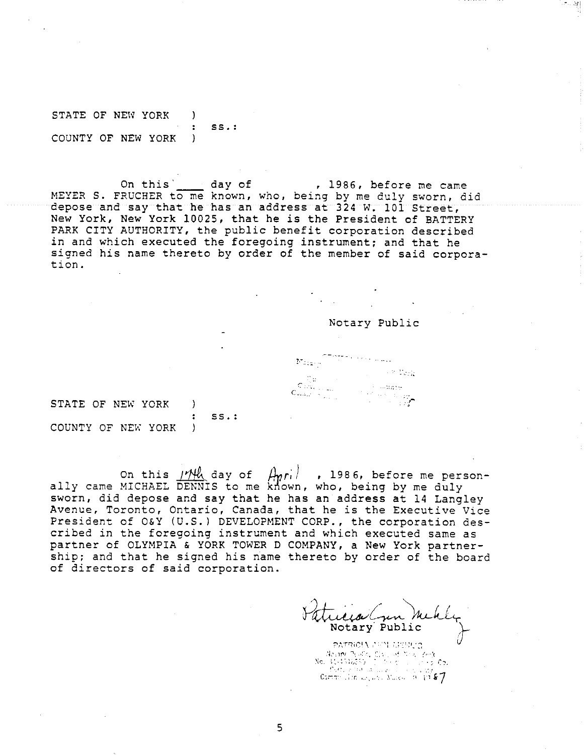STATE OF NEW YORK )  $\mathbf{R}^{\prime}$  $SS.$ : COUNTY OF NEW YORK )

On this day of , 1986, before me came MEYER S. FRUCHER to me known, who, being by me duly sworn, did depose and say that he has an address at 324 W. i01 Street, New York, New York 10025, that he is the President of BATTERY PARK CITY AUTHORITY, the public benefit corporation described in and which executed the foregoing instrument; and that he signed his name thereto by order of the member of said corporation.

 $\mathcal{W}_{\text{ulge}}$  .

i<br>Carlotta

 $\mathsf{C}_{\mathsf{out},\mathcal{I}}$  ,  $\mathbb{C}_{\mathsf{out},\mathcal{I}}$ 

 $\sim 10^{11}$ e (1944)<br>Start (1944)<br>Hallock

Notary Public

**SAME SER** 

 $\mathbb{R}^4$  -summer. י בלתוניים ובין<br>קלב בין ליים ובין<br>פלי בין

STATE OF NEW YORK )  $\mathbf{r}$ COUNTY OF NEW YORK )

On this  $14\%$  day of  $~\mu_{\eta}$ ri $/$  , 1986, before me personally came MICHAEL DENNIS to me known, who, being by me duly sworn, did depose and say that he has an address at 14 Langley Avenue, Toronto, Ontario, Canada, that he is the Executive Vice President of O&Y (U.S.) DEVELOPMENT CORP., the corporation described in the foregoing instrument and which executed same as partner of OLYMPIA & YORK TOWER D COMPANY, a New York partnership; and that he signed his name thereto by order of the board of directors of said corporation.

 $SS.$ :

Vaturia (un Michel

**PATRICIA APM GESPLO**  $\begin{array}{c} \text{Recall } \mathbb{P}(A, \mathbb{P}(A), \mathbb{P}(A)) = \{x \in \mathbb{R}^n : |x| \leq 2n\} \\ \text{Ne. } \mathbb{P}(A, \mathbb{P}(A), \mathbb{P}(A)) = \{x \in \mathbb{P}(A), |x| \leq 2n\} \\ \text{Ne. } \mathbb{P}(A, \mathbb{P}(A), \mathbb{P}(A)) = \{x \in \mathbb{P}(A), |x| \leq 2n\} \\ \text{Commutation } \mathbb{P}(A, \mathbb{P}(A), \mathbb{P}(A)) = \{x \in \mathbb{P}(A$ 

5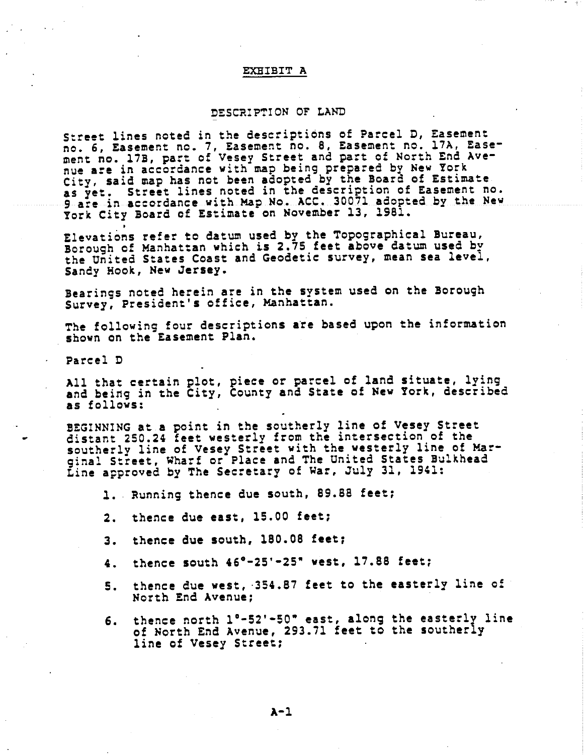#### EXHIBIT A

## DESCRIPTION OF LAND

Street lines noted in the descriptions of Parcel D, Easement no. 6, Easement no. 7, Easement no. 8, Easement no. 17A, Easement no. 17B, part of Vesey Street and part of North End Aveas yet. Street lines noted in the description of Easement no. 9 are in accordance with Map No. ACC. 30071 adopted by the New York City Board of Estimate on November 13, 1981.

Elevations refer to datum used by the Topographical Bureau, Borough of Manhattan which is 2.75 feet above datum used by the United States Coast and Geodetic survey, mean sea level, Sandy Mook, New Jersey.

Bearings noted herein are in the system used on the Borough Survey, President's office, Manhattan.

The following four descriptions are based upon the information shown on the Easement Plan.

Parcel <sup>D</sup>

All that certain plot, piece or parcel of land situate, lying and being in the City, County and State of New York, described as follows:

BEGINNING at a point in the southerly line of Vesey Street distant 250.24 feet westerly from the intersection of the southerly line of vesey Street with the westerly line of Marginal Street, Wharf or Place and The United States Bulkhead Line approved by The Secretary of War, July 31, 1941:

1. Running thence due south, 89.88 feet;

2. thence due east, 15.00 feet;

- thence due south, 180.08 feet;
- 4. thence south  $46^{\circ}-25^{\circ}-25^{\circ}$  west, 17.88 feet;
- 5. thence due west, 354.87 feet to the easterly line of North End Avenue;
- 6. thence north 1°-52'-50" east, along the easterly line of North End Avenue, 293.71 feet to the southerly line of Vesey Streeu;

 $\lambda-1$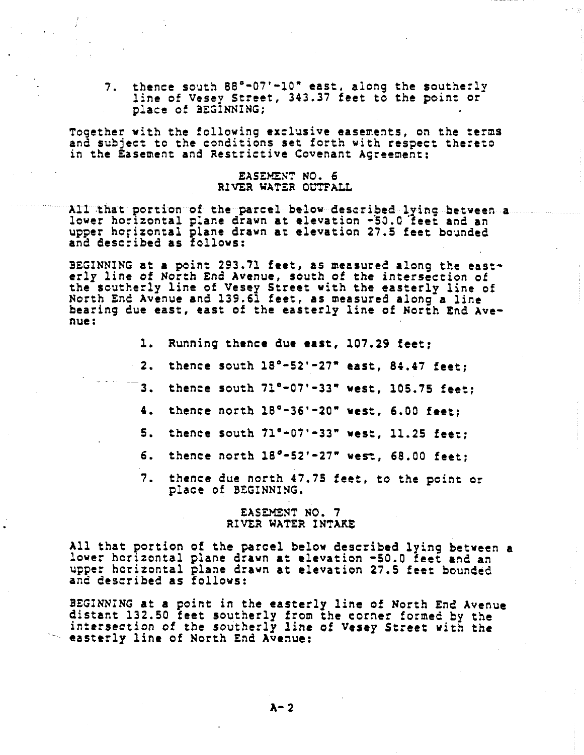7. thence south 88~-07'-!0" east, along the southerly line of Vesey Street, 343.37 feet to the point or place of 3EG!NNING;

Together with the following exclusive easements, on the terms and subject to the conditions set forth with respect thereto in the Easement and Restrictive Covenant Aqreement:

## EASEMENT NO. 6 RIVER WATER OUTFALL

All that portion of the parcel below described lying between a lower horizontal plane drawn at elevation -50.0 feet and an upper horizontal plane drawn at elevation 27.5 feet bounded and described as follows:

BEGINNING at a point 293.71 feet, as measured along the easterly line of North End Avenue, south of the intersection of<br>the southerly line of Vesey Street with the easterly line of North End Avenue and 139.61 feet, as measured along a line bearing due east, east of the easterly line of North End Ave-<br>nue:

- 1. Running thence due east, 107.29 feet;
- thence south  $18^{\circ} 52^{\circ} 27^{\circ}$  east,  $84.47$  feet;  $2.$
- thence south  $71^{\circ}-07^{\circ}-33^{\circ}$  west,  $105.75$  feet;  $3.1$
- **4.** thence north 18°-36'-20" west, 6.00 feet;
- 5. thence south  $71^{\circ}-07^{\circ}-33^{\circ}$  west,  $11.25$  feet;
- **6.** thence north 18°-52'-27" west, 68.00 feet;
- 7. thence due north 47.75 feet, to the point or place of BEGINNING.

## EASEMENT NO. 7 RIVER WATER INTAKZ

All that portion of the parcel below described lying between a lower horizontal plane drawn at elevation -50.0 feet and an 10wer horizontal plane drawn at elevation -50.0 feet and a<br>upper horizontal plane drawn at elevation 27.5 feet bounde and described as follows:

BEGINNING at a point in the easterly line of North End Avenue<br>distant 132.50 feet southerly from the corner formed by the intersection of the southerly line of Vesey Street with the easterly line of North End Avenue: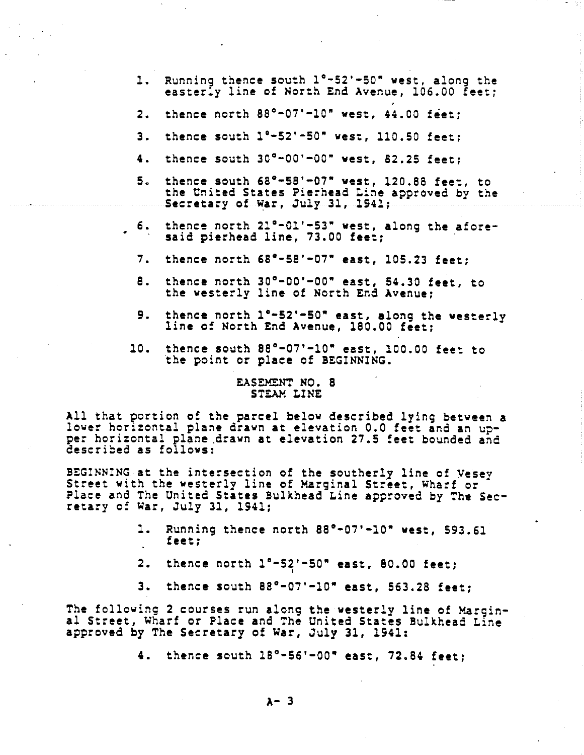- 1. Running thence south I°-52'-50" west, along the easterly line of North End Avenue, 106.00 feet;
- 2. thence north  $88^{\circ}-07^{\circ}-10^{\circ}$  west,  $44.00$  feet;
- $3.$  thence south  $1^{\circ}-52^{\circ}-50^{\circ}$  west, 110.50 feet;
- 4. thence south 30=-00'-00" west, 82 .25 feet;
- **5. ~hence south 68°-58'-07" vest, 120.88 feet, to** the United States Pierhead Line approved by the Secretary of War, July 31, 1941;
- 6. thence north 2!'-0!'-53" west, along the afore said pierhead line, 73.00 feet;
	- 7. thence north 68~-58'-07" east, 105.23 feet;
	- 8. thence north 30°-00'-00" east, 54.30 feet, to the westerly line of North End Avenue;
	- thence north I"-52'-50" east, along the vesterly 9. line of North End Avenue, 180.00 feet;
- I0. thence south 88"-07'-I0" east, 100.00 feet the point or place of BEGINNING.

## EASEMENT NO. 8 **STEAM LINE**

All that portion of the parcel below described lying between a lower horizontal plane drawn at elevation 0.0 feet and an upper horizontal plane.drawn at elevation 27.5 feet bounded and described as follows:

BEGINNING. at the intersection of the southerly llne of vesey Street with the westerly line of Marginal Street, Wharf or Place and The United States Bulkhead Line approved by The Secretary of War, July 31, 194!;

- 1. Running thence north 88°-07'-10" west, 593.61 feet;
- **2. thence north I"-52'-50" east, 80.00 feet;**
- 3. thence south 88°-07'-10" east, 563.28 feet;

The following 2 courses run along the westerly line of Marginal Street, Wharf or Place and The United States Bulkhead Line approved by The Secretary of War, July 31, 1941:

**thence south 180-56'-00" east, 72.84 feet;**

 $\lambda$ - 3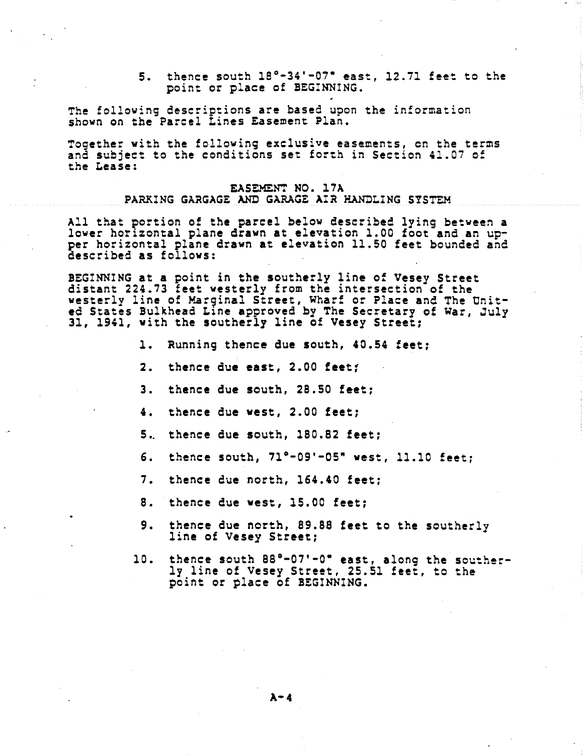5. thence south  $18^{\circ} - 34^{\circ} - 07^{\circ}$  east, 12.71 feet to the point or place of BEGINNING.

The following descriptions are based upon the information shown on the Parcel Lines Easement Plan.

Together with the following exclusive easements, on the terms and subject to the conditions set forth in Section 41.07 of the Lease:

## EASEMENT NO. 17A PARKING GARGAGE AND GARAGE AIR HANDLING SYSTEM

All that portion of the parcel below described lying between a lower horizontal plane drawn at elevation 1.00 foot and an upper horizontal plane drawn at elevation 11.50 feet bounded and described as follows:

BEGINNING at a point in the southerly line of Vesey Street distant 224.73 feet westerly from the intersection of the westerly line of Marginal Street, Wharf or Place and The United States Bulkhead Line approved by The Secretary of War, July 31, 1941, with the southerly line of Vesey Street;

- 1. Running thence due south, 40.54 feet;
- 2. thence due east, 2.00 feet;
- 3. thence due south, 28.50 feet;
- 4. thence due west, 2.00 feet;
- 5. thence due south, 180.82 feet;
- 6. thence south,  $71^{\circ}-09'$ -05" west, 11.10 feet;
- 7. thence due north, 164.40 feet;
- 8. thence due west, 15.00 feet;
- 9. thence due north, 89.88 feet to the southerly line of Vesey Street;
- 10. thence south 88°-07'-0" east, along the southerly line of Vesey Street, 25.51 feet, to the point or place of BEGINNING.

 $A - 4$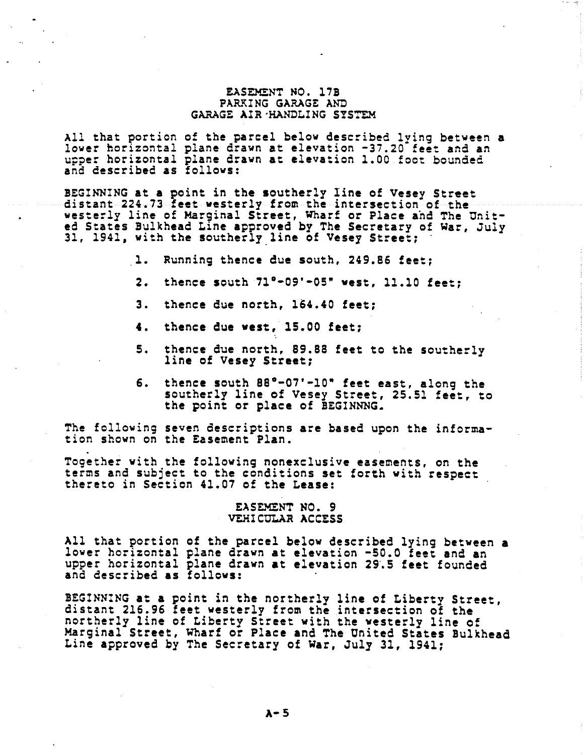## **EASEMENT NO.** PARKING GARAGE AND GARAGE AIR-HANDLING SYSTEM

All that portion of the parcel below described lying between a lower horizontal plane drawn at elevation -37.20 feet and an upper horizontal plane drawn at elevation 1.00 foot bounded and described as follows:

BEGINNING at a point in the southerly line of Vesey Street distant 224.73 feet westerly from the intersection of the westerly line of Marginal Street, Wharf or Place ahd The United States Bulkhead Line approved by The Secretary of War, July 31, 1941, wish the southerly.line of Vesey Street;

> $\mathbf{L}$ . Running thence due south, 249.86 feet;

- 2. thence south 71°-09'-05" west, 11.10 feet;
- 3. thence due north, 164.40 feet;
- 4. thence due west, 15.00 feet;
- 5. thence due north, 89.88 feet to the southerly line of Vesey Street;
- thence south  $88^{\circ}-07^{\circ}-10^{\circ}$  feet east, along the 6. . southerly line of Vesey Street, 25.51 feet, to the point or place of BEGINNNG.

The following seven descriptions are based upon the information shown on the Easement Plan.

Together with the following nonexolusive easements, on the terms and subject to the conditions set forth with respect thereto in Section 41.07 of the Lease:

# EASEMENT NO. 9<br>VEHICULAR ACCESS

lower horizontal plane drawn at elevation -50.0 feet and an upper horizontal plane drawn at elevation 29.5 feet founded and described as follows: All that portion of the parcel below described lying between a

BEGINNING at a point in the northerly line of Liberty Street, distant 216.96 feet westerly from the intersection of the northerly line of Liberty Street with the westerly line of Marginal Street, Wharf or Place and The United States Bulkhead Line approved by The Secretary of War, July 31, 1941;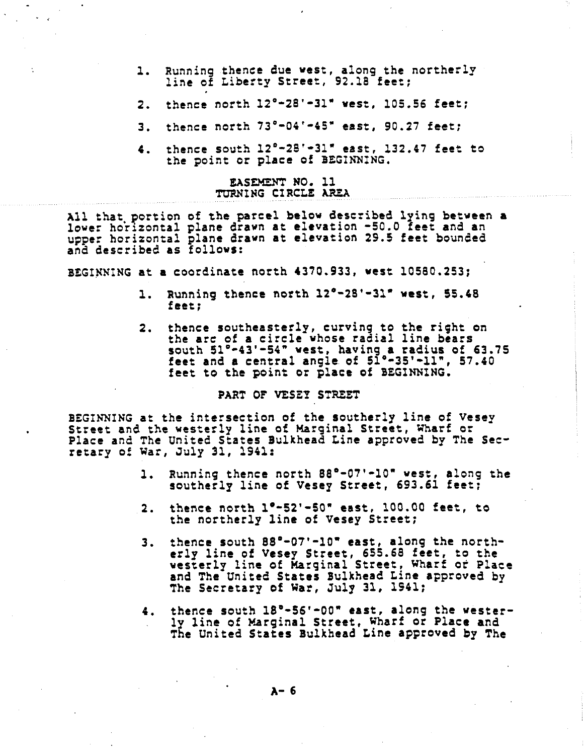- 1. Running thence due west, along the northerly line of Liberty Street, 92.18 feet;
- 2. thence north  $12^{\circ}$ -28'-31" west, 105.56 feet;
- 3. thence north  $73^{\circ}-04^{\circ}-45^{\circ}$  east,  $90.27$  feet;
- 4. **thence south 12°-28'-31" east, 132.47 feet to** the point or place of BEGINNING.

# **EASEMENT NO. 11 TURNING CXRCLE AItEA**

All that portion of the parcel below described lying between a lower horizontal plane drawn at elevation -50.0 feet and an upper horizontal plane drawn at elevation 29.5 feet bounded and described as follows:

**BEGINNING at a coordinate north 4370.933, west 10580.253;** 

- 1. Running thence north 12°-28'-31" west, 55.48 **feet;**
- 2. **thence southeasterly, curving to the right on the arc of a circle whose radial line bears** south 51°-43'-54" west, having a radius of 63.75 **feet and a central angle of 51°-35'-ii", 57.40 feet to the point or place of BEGINNING.**

### **PART OF VESEY STREET**

**BEGINNING** at the intersection of the southerly line of vesey Street and the westerly line of Marginal Street, Wharf or Place and The United States Bulkhead Line approved by The Secretary of War, July 31, 1941:

- I. Running thence north 88°-07'-I0" vest, along the southerly line of Vesey Street, 693.61 feet;
- thence north  $1^{\circ}-52^{\circ}-50^{\circ}$  east, 100.00 feet, to  $2.$ the northerly line of Vesey Street;
- 3. thence south 88°-07'-10" east, along the northerly line of Vesey Street, 655.68 feet, to the **westerly** line of Marginal Street, Wharf or Place and The United States Bulkhead Line approved by The Secretary of War, July 31, 1941;
- 4. thence south 18°-56'-00" east, along the westerly line of Marginal Street, Wharf or Place and The United States Bulkhead Line approved by The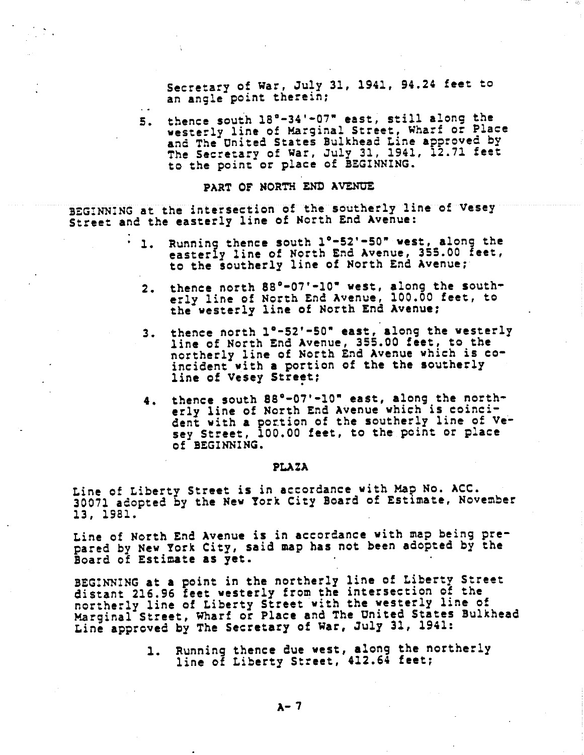Secretary of War, July 31, 1941, 94.24 feet to an angle point therein;

thence south 18°-34'-07" east, still along the 5. westerly line of Marginal Street, Wharf or Place and The United States Bulkhead Line approved by The Secretary of War, July 31, 1941, 12.71 feet to the point or place of BEGINNING.

## **PART OF NORTH END AVENUE**

3EGINNING at the intersection of the southerly line of Vesey Street and the easterly line of North End Avenue:

- **¯ I. Running thence south 10-52'-50" west, along the easterly line of North End Avenue, 355.00 feet,** to the southerly line of North End Avenue;
	- **thence north 880-07'-I0" west, along the southerly line of North End Avenue, I00.00 feet, to the westerly line of North End Avenue;**
	- thence north 1°-52'-50" east, along the westerly З. line of North End Avenue, 355.00 feet, to the northerly line of North End Avenue which is coincident with a portion of the the southerly line of Vesey Street;
	- thence south  $88^{\circ}-07'$ -10" east, along the north- $4.$ erly line of North End Avenue which is coincident with a portion of the southerly line of Vesey Street, 100.00 feet, to the point or place **of BEGINNING.**

### **PLAZA**

Line of Liberty Street is in accordance with Map No. ACC. 30071 adopted by the New York City Board of Estimate, November **13, 1981.**

Line of North End Avenue is in accordance with map being prepared by New York City, said map has not been adopted by the<br>Board of Estimate as yet.

BEGiNNiNG at a point in the northerly line of Liberty Street distant 216.96 feet westerly from the intersection of the northerly line of Liberty Street with the westerly line of Marginal Street, Wharf or Place and The United States Bulkhead Line approved by The Secretary of War, July 31, 1941:

> I. Running thence due west, along the northerly line of Liberty Street, 412.64 feet;

> > $A - 7$